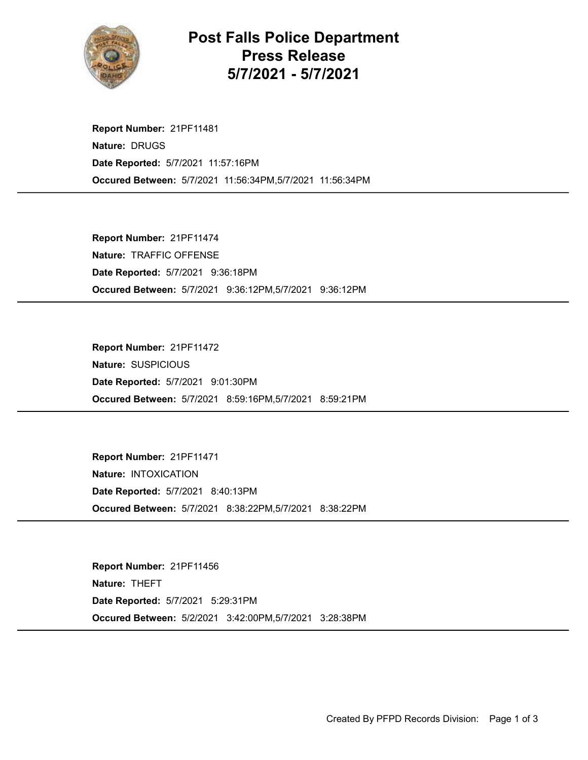

## Post Falls Police Department Press Release 5/7/2021 - 5/7/2021

Occured Between: 5/7/2021 11:56:34PM,5/7/2021 11:56:34PM Report Number: 21PF11481 Nature: DRUGS Date Reported: 5/7/2021 11:57:16PM

Occured Between: 5/7/2021 9:36:12PM,5/7/2021 9:36:12PM Report Number: 21PF11474 Nature: TRAFFIC OFFENSE Date Reported: 5/7/2021 9:36:18PM

Occured Between: 5/7/2021 8:59:16PM,5/7/2021 8:59:21PM Report Number: 21PF11472 Nature: SUSPICIOUS Date Reported: 5/7/2021 9:01:30PM

Occured Between: 5/7/2021 8:38:22PM,5/7/2021 8:38:22PM Report Number: 21PF11471 Nature: INTOXICATION Date Reported: 5/7/2021 8:40:13PM

Occured Between: 5/2/2021 3:42:00PM,5/7/2021 3:28:38PM Report Number: 21PF11456 Nature: THEFT Date Reported: 5/7/2021 5:29:31PM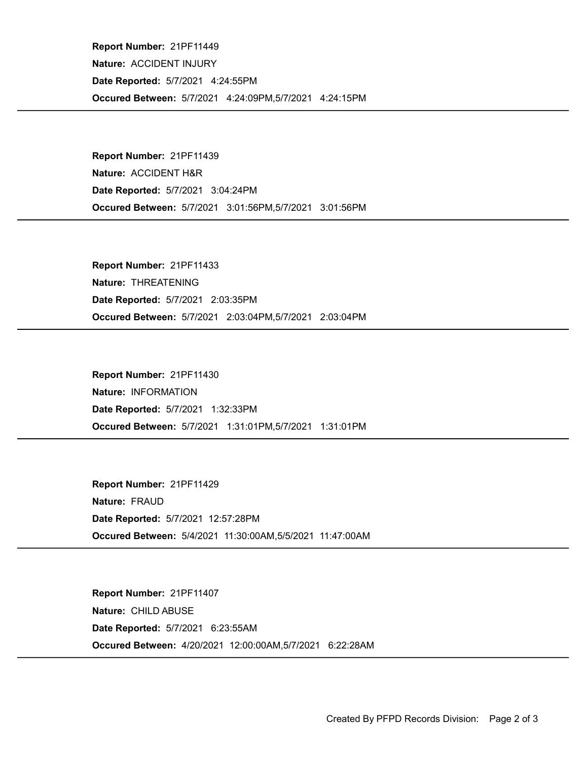Occured Between: 5/7/2021 4:24:09PM,5/7/2021 4:24:15PM Report Number: 21PF11449 Nature: ACCIDENT INJURY Date Reported: 5/7/2021 4:24:55PM

Occured Between: 5/7/2021 3:01:56PM,5/7/2021 3:01:56PM Report Number: 21PF11439 Nature: ACCIDENT H&R Date Reported: 5/7/2021 3:04:24PM

Occured Between: 5/7/2021 2:03:04PM,5/7/2021 2:03:04PM Report Number: 21PF11433 Nature: THREATENING Date Reported: 5/7/2021 2:03:35PM

Occured Between: 5/7/2021 1:31:01PM,5/7/2021 1:31:01PM Report Number: 21PF11430 Nature: INFORMATION Date Reported: 5/7/2021 1:32:33PM

Occured Between: 5/4/2021 11:30:00AM,5/5/2021 11:47:00AM Report Number: 21PF11429 Nature: FRAUD Date Reported: 5/7/2021 12:57:28PM

Occured Between: 4/20/2021 12:00:00AM,5/7/2021 6:22:28AM Report Number: 21PF11407 Nature: CHILD ABUSE Date Reported: 5/7/2021 6:23:55AM